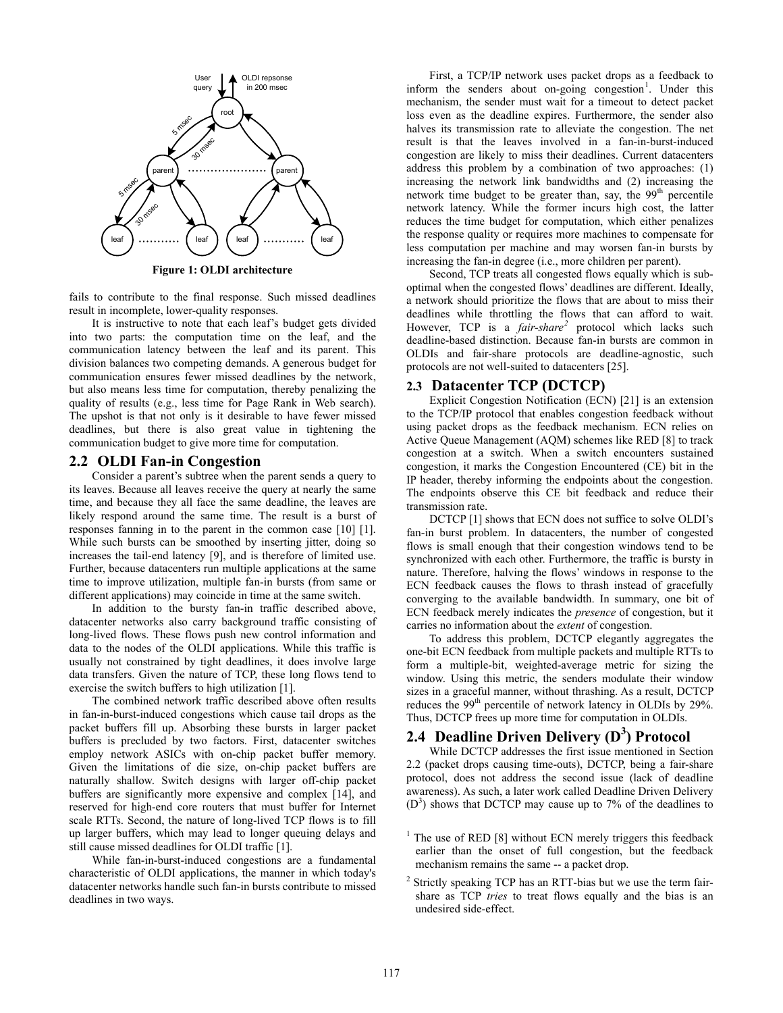

fails to contribute to the final response. Such missed deadlines result in incomplete, lower-quality responses.

It is instructive to note that each leaf's budget gets divided into two parts: the computation time on the leaf, and the communication latency between the leaf and its parent. This division balances two competing demands. A generous budget for communication ensures fewer missed deadlines by the network, but also means less time for computation, thereby penalizing the quality of results (e.g., less time for Page Rank in Web search). The upshot is that not only is it desirable to have fewer missed deadlines, but there is also great value in tightening the communication budget to give more time for computation.

# <span id="page-2-0"></span>**2.2 OLDI Fan-in Congestion**

Consider a parent's subtree when the parent sends a query to its leaves. Because all leaves receive the query at nearly the same time, and because they all face the same deadline, the leaves are likely respond around the same time. The result is a burst of responses fanning in to the parent in the common case [\[10\]](#page-11-0) [\[1\].](#page-11-1) While such bursts can be smoothed by inserting jitter, doing so increases the tail-end latency [\[9\],](#page-11-2) and is therefore of limited use. Further, because datacenters run multiple applications at the same time to improve utilization, multiple fan-in bursts (from same or different applications) may coincide in time at the same switch.

In addition to the bursty fan-in traffic described above, datacenter networks also carry background traffic consisting of long-lived flows. These flows push new control information and data to the nodes of the OLDI applications. While this traffic is usually not constrained by tight deadlines, it does involve large data transfers. Given the nature of TCP, these long flows tend to exercise the switch buffers to high utilization [\[1\].](#page-11-1)

The combined network traffic described above often results in fan-in-burst-induced congestions which cause tail drops as the packet buffers fill up. Absorbing these bursts in larger packet buffers is precluded by two factors. First, datacenter switches employ network ASICs with on-chip packet buffer memory. Given the limitations of die size, on-chip packet buffers are naturally shallow. Switch designs with larger off-chip packet buffers are significantly more expensive and complex [\[14\],](#page-11-3) and reserved for high-end core routers that must buffer for Internet scale RTTs. Second, the nature of long-lived TCP flows is to fill up larger buffers, which may lead to longer queuing delays and still cause missed deadlines for OLDI traffic [\[1\].](#page-11-1) 

<span id="page-2-1"></span>While fan-in-burst-induced congestions are a fundamental characteristic of OLDI applications, the manner in which today's datacenter networks handle such fan-in bursts contribute to missed deadlines in two ways.

First, a TCP/IP network uses packet drops as a feedback to inform the senders about on-going congestion<sup>[1](#page-0-0)</sup>. Under this mechanism, the sender must wait for a timeout to detect packet loss even as the deadline expires. Furthermore, the sender also halves its transmission rate to alleviate the congestion. The net result is that the leaves involved in a fan-in-burst-induced congestion are likely to miss their deadlines. Current datacenters address this problem by a combination of two approaches: (1) increasing the network link bandwidths and (2) increasing the network time budget to be greater than, say, the  $99<sup>th</sup>$  percentile network latency. While the former incurs high cost, the latter reduces the time budget for computation, which either penalizes the response quality or requires more machines to compensate for less computation per machine and may worsen fan-in bursts by increasing the fan-in degree (i.e., more children per parent).

Second, TCP treats all congested flows equally which is suboptimal when the congested flows' deadlines are different. Ideally, a network should prioritize the flows that are about to miss their deadlines while throttling the flows that can afford to wait. However, TCP is a *fair-share*<sup>[2](#page-2-1)</sup> protocol which lacks such deadline-based distinction. Because fan-in bursts are common in OLDIs and fair-share protocols are deadline-agnostic, such protocols are not well-suited to datacenters [\[25\].](#page-11-4)

# **2.3 Datacenter TCP (DCTCP)**

Explicit Congestion Notification (ECN) [\[21\]](#page-11-5) is an extension to the TCP/IP protocol that enables congestion feedback without using packet drops as the feedback mechanism. ECN relies on Active Queue Management (AQM) schemes like RED [\[8\]](#page-11-6) to track congestion at a switch. When a switch encounters sustained congestion, it marks the Congestion Encountered (CE) bit in the IP header, thereby informing the endpoints about the congestion. The endpoints observe this CE bit feedback and reduce their transmission rate.

DCTCP [\[1\]](#page-11-1) shows that ECN does not suffice to solve OLDI's fan-in burst problem. In datacenters, the number of congested flows is small enough that their congestion windows tend to be synchronized with each other. Furthermore, the traffic is bursty in nature. Therefore, halving the flows' windows in response to the ECN feedback causes the flows to thrash instead of gracefully converging to the available bandwidth. In summary, one bit of ECN feedback merely indicates the *presence* of congestion, but it carries no information about the *extent* of congestion.

To address this problem, DCTCP elegantly aggregates the one-bit ECN feedback from multiple packets and multiple RTTs to form a multiple-bit, weighted-average metric for sizing the window. Using this metric, the senders modulate their window sizes in a graceful manner, without thrashing. As a result, DCTCP reduces the 99<sup>th</sup> percentile of network latency in OLDIs by 29%. Thus, DCTCP frees up more time for computation in OLDIs.

# **2.4 Deadline Driven Delivery (D<sup>3</sup>) Protocol**

While DCTCP addresses the first issue mentioned in Section [2.2](#page-2-0) (packet drops causing time-outs), DCTCP, being a fair-share protocol, does not address the second issue (lack of deadline awareness). As such, a later work called Deadline Driven Delivery  $(D<sup>3</sup>)$  shows that DCTCP may cause up to 7% of the deadlines to

- $1$  The use of RED [\[8\]](#page-11-6) without ECN merely triggers this feedback earlier than the onset of full congestion, but the feedback mechanism remains the same -- a packet drop.
- <sup>2</sup> Strictly speaking TCP has an RTT-bias but we use the term fairshare as TCP *tries* to treat flows equally and the bias is an undesired side-effect.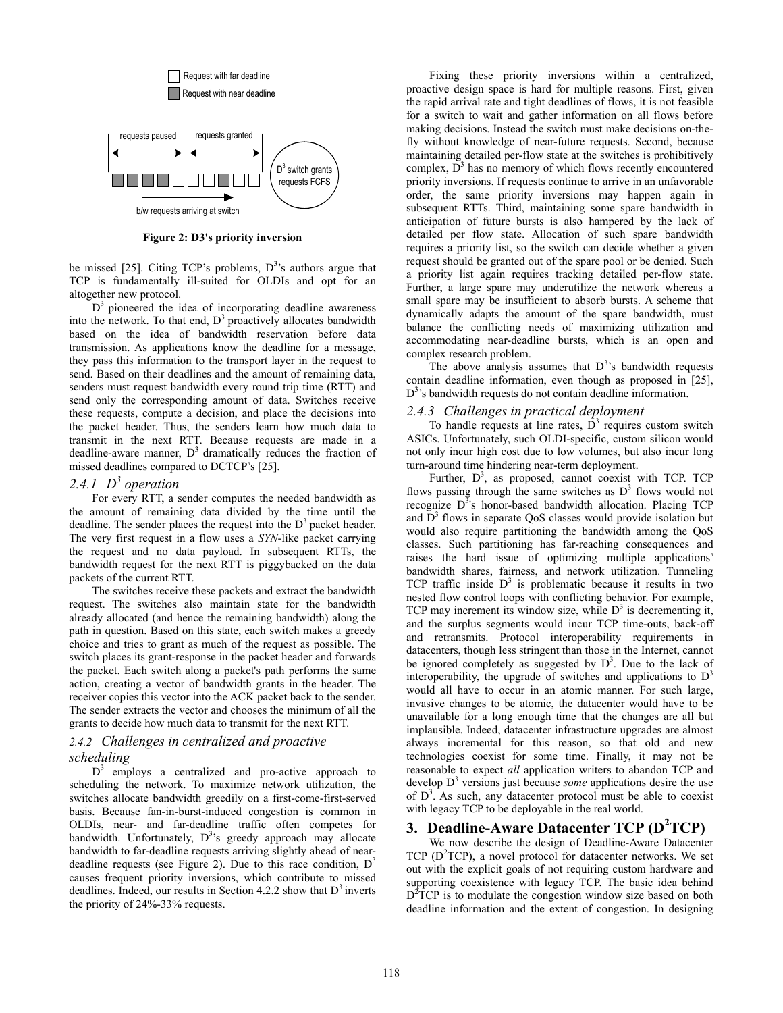

**Figure 2: D3's priority inversion**

<span id="page-3-0"></span>be missed [\[25\].](#page-11-4) Citing TCP's problems,  $D<sup>3</sup>$ 's authors argue that TCP is fundamentally ill-suited for OLDIs and opt for an altogether new protocol.

 $D<sup>3</sup>$  pioneered the idea of incorporating deadline awareness into the network. To that end,  $D<sup>3</sup>$  proactively allocates bandwidth based on the idea of bandwidth reservation before data transmission. As applications know the deadline for a message, they pass this information to the transport layer in the request to send. Based on their deadlines and the amount of remaining data, senders must request bandwidth every round trip time (RTT) and send only the corresponding amount of data. Switches receive these requests, compute a decision, and place the decisions into the packet header. Thus, the senders learn how much data to transmit in the next RTT. Because requests are made in a deadline-aware manner,  $D<sup>3</sup>$  dramatically reduces the fraction of missed deadlines compared to DCTCP'[s \[25\].](#page-11-4) 

# *2.4.1 D3 operation*

For every RTT, a sender computes the needed bandwidth as the amount of remaining data divided by the time until the deadline. The sender places the request into the  $D<sup>3</sup>$  packet header. The very first request in a flow uses a *SYN*-like packet carrying the request and no data payload. In subsequent RTTs, the bandwidth request for the next RTT is piggybacked on the data packets of the current RTT.

The switches receive these packets and extract the bandwidth request. The switches also maintain state for the bandwidth already allocated (and hence the remaining bandwidth) along the path in question. Based on this state, each switch makes a greedy choice and tries to grant as much of the request as possible. The switch places its grant-response in the packet header and forwards the packet. Each switch along a packet's path performs the same action, creating a vector of bandwidth grants in the header. The receiver copies this vector into the ACK packet back to the sender. The sender extracts the vector and chooses the minimum of all the grants to decide how much data to transmit for the next RTT.

# *2.4.2 Challenges in centralized and proactive scheduling*

 $D<sup>3</sup>$  employs a centralized and pro-active approach to scheduling the network. To maximize network utilization, the switches allocate bandwidth greedily on a first-come-first-served basis. Because fan-in-burst-induced congestion is common in OLDIs, near- and far-deadline traffic often competes for bandwidth. Unfortunately,  $D^3$ 's greedy approach may allocate bandwidth to far-deadline requests arriving slightly ahead of near-deadline requests (see [Figure 2\)](#page-3-0). Due to this race condition,  $D<sup>3</sup>$ causes frequent priority inversions, which contribute to missed deadlines. Indeed, our results in Section [4.2.2](#page-8-0) show that  $D<sup>3</sup>$  inverts the priority of 24%-33% requests.

Fixing these priority inversions within a centralized, proactive design space is hard for multiple reasons. First, given the rapid arrival rate and tight deadlines of flows, it is not feasible for a switch to wait and gather information on all flows before making decisions. Instead the switch must make decisions on-thefly without knowledge of near-future requests. Second, because maintaining detailed per-flow state at the switches is prohibitively complex,  $D<sup>3</sup>$  has no memory of which flows recently encountered priority inversions. If requests continue to arrive in an unfavorable order, the same priority inversions may happen again in subsequent RTTs. Third, maintaining some spare bandwidth in anticipation of future bursts is also hampered by the lack of detailed per flow state. Allocation of such spare bandwidth requires a priority list, so the switch can decide whether a given request should be granted out of the spare pool or be denied. Such a priority list again requires tracking detailed per-flow state. Further, a large spare may underutilize the network whereas a small spare may be insufficient to absorb bursts. A scheme that dynamically adapts the amount of the spare bandwidth, must balance the conflicting needs of maximizing utilization and accommodating near-deadline bursts, which is an open and complex research problem.

The above analysis assumes that  $D<sup>3</sup>$ 's bandwidth requests contain deadline information, even though as proposed in [\[25\],](#page-11-4) D<sup>3</sup>'s bandwidth requests do not contain deadline information.

#### *2.4.3 Challenges in practical deployment*

To handle requests at line rates,  $\overline{D}^3$  requires custom switch ASICs. Unfortunately, such OLDI-specific, custom silicon would not only incur high cost due to low volumes, but also incur long turn-around time hindering near-term deployment.

Further,  $D^3$ , as proposed, cannot coexist with TCP. TCP flows passing through the same switches as  $D<sup>3</sup>$  flows would not recognize  $D^{3}$ 's honor-based bandwidth allocation. Placing TCP and  $D<sup>3</sup>$  flows in separate QoS classes would provide isolation but would also require partitioning the bandwidth among the QoS classes. Such partitioning has far-reaching consequences and raises the hard issue of optimizing multiple applications' bandwidth shares, fairness, and network utilization. Tunneling TCP traffic inside  $D<sup>3</sup>$  is problematic because it results in two nested flow control loops with conflicting behavior. For example, TCP may increment its window size, while  $D<sup>3</sup>$  is decrementing it, and the surplus segments would incur TCP time-outs, back-off and retransmits. Protocol interoperability requirements in datacenters, though less stringent than those in the Internet, cannot be ignored completely as suggested by  $D<sup>3</sup>$ . Due to the lack of interoperability, the upgrade of switches and applications to  $D<sup>3</sup>$ would all have to occur in an atomic manner. For such large, invasive changes to be atomic, the datacenter would have to be unavailable for a long enough time that the changes are all but implausible. Indeed, datacenter infrastructure upgrades are almost always incremental for this reason, so that old and new technologies coexist for some time. Finally, it may not be reasonable to expect *all* application writers to abandon TCP and develop D<sup>3</sup> versions just because *some* applications desire the use of  $D^3$ . As such, any datacenter protocol must be able to coexist with legacy TCP to be deployable in the real world.

# **3. Deadline-Aware Datacenter TCP (D<sup>2</sup>TCP)**

We now describe the design of Deadline-Aware Datacenter TCP  $(D^{2}TCP)$ , a novel protocol for datacenter networks. We set out with the explicit goals of not requiring custom hardware and supporting coexistence with legacy TCP. The basic idea behind  $D^{2} \hat{T} C P$  is to modulate the congestion window size based on both deadline information and the extent of congestion. In designing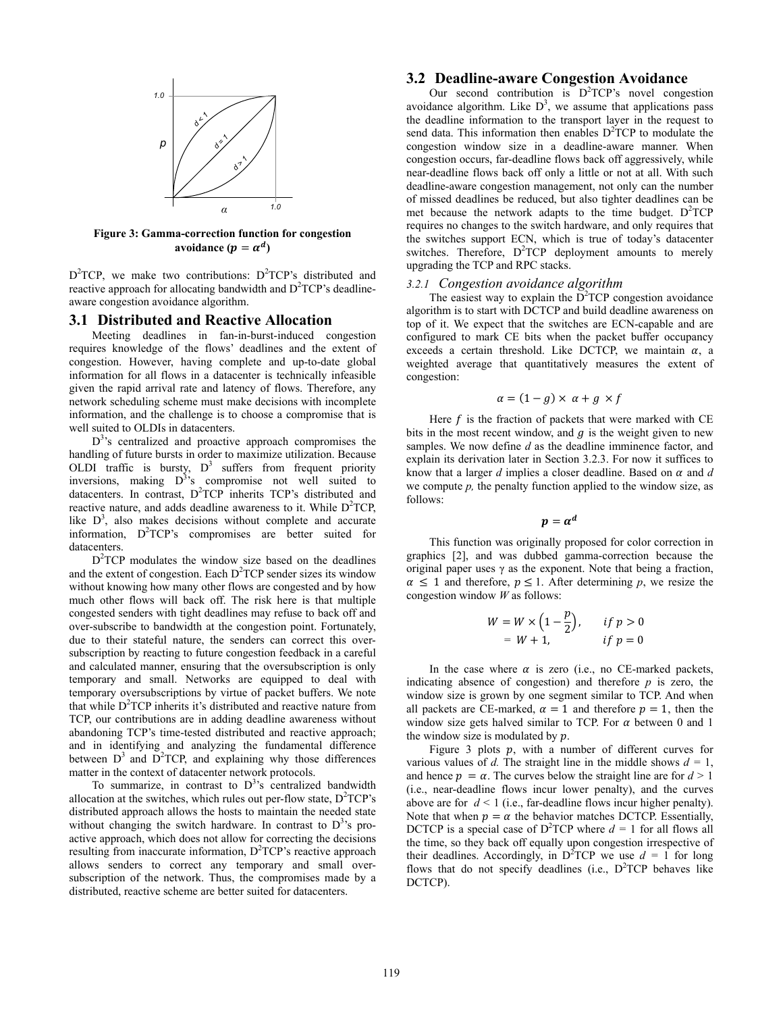

<span id="page-4-0"></span>**Figure 3: Gamma-correction function for congestion**  avoidance  $(p = \alpha^d)$ 

 $D^{2}TCP$ , we make two contributions:  $D^{2}TCP$ 's distributed and reactive approach for allocating bandwidth and  $D<sup>2</sup>TCP's deadline$ aware congestion avoidance algorithm.

#### **3.1 Distributed and Reactive Allocation**

Meeting deadlines in fan-in-burst-induced congestion requires knowledge of the flows' deadlines and the extent of congestion. However, having complete and up-to-date global information for all flows in a datacenter is technically infeasible given the rapid arrival rate and latency of flows. Therefore, any network scheduling scheme must make decisions with incomplete information, and the challenge is to choose a compromise that is well suited to OLDIs in datacenters.

D<sup>3</sup>'s centralized and proactive approach compromises the handling of future bursts in order to maximize utilization. Because OLDI traffic is bursty,  $D^3$  suffers from frequent priority inversions, making  $D<sup>3</sup>$ 's compromise not well suited to datacenters. In contrast, D<sup>2</sup>TCP inherits TCP's distributed and reactive nature, and adds deadline awareness to it. While  $D^{2}TCP$ , like  $D<sup>3</sup>$ , also makes decisions without complete and accurate information,  $D^{2}TCP$ 's compromises are better suited for datacenters.

D<sup>2</sup>TCP modulates the window size based on the deadlines and the extent of congestion. Each  $D^{2}TCP$  sender sizes its window without knowing how many other flows are congested and by how much other flows will back off. The risk here is that multiple congested senders with tight deadlines may refuse to back off and over-subscribe to bandwidth at the congestion point. Fortunately, due to their stateful nature, the senders can correct this oversubscription by reacting to future congestion feedback in a careful and calculated manner, ensuring that the oversubscription is only temporary and small. Networks are equipped to deal with temporary oversubscriptions by virtue of packet buffers. We note that while  $D^{2}TCP$  inherits it's distributed and reactive nature from TCP, our contributions are in adding deadline awareness without abandoning TCP's time-tested distributed and reactive approach; and in identifying and analyzing the fundamental difference between  $D^3$  and  $D^2TCP$ , and explaining why those differences matter in the context of datacenter network protocols.

To summarize, in contrast to  $D<sup>3</sup>$ 's centralized bandwidth allocation at the switches, which rules out per-flow state,  $D^{2}TCP$ 's distributed approach allows the hosts to maintain the needed state without changing the switch hardware. In contrast to  $D^{3}$ 's proactive approach, which does not allow for correcting the decisions resulting from inaccurate information,  $D^{2}TCP$ 's reactive approach allows senders to correct any temporary and small oversubscription of the network. Thus, the compromises made by a distributed, reactive scheme are better suited for datacenters.

# **3.2 Deadline-aware Congestion Avoidance**

Our second contribution is  $D^2TCP$ 's novel congestion avoidance algorithm. Like  $D^3$ , we assume that applications pass the deadline information to the transport layer in the request to send data. This information then enables  $D<sup>2</sup>TCP$  to modulate the congestion window size in a deadline-aware manner. When congestion occurs, far-deadline flows back off aggressively, while near-deadline flows back off only a little or not at all. With such deadline-aware congestion management, not only can the number of missed deadlines be reduced, but also tighter deadlines can be met because the network adapts to the time budget.  $D^{2}TCP$ requires no changes to the switch hardware, and only requires that the switches support ECN, which is true of today's datacenter switches. Therefore,  $D^{2}TCP$  deployment amounts to merely upgrading the TCP and RPC stacks.

#### *3.2.1 Congestion avoidance algorithm*

The easiest way to explain the  $D<sup>2</sup> TCP$  congestion avoidance algorithm is to start with DCTCP and build deadline awareness on top of it. We expect that the switches are ECN-capable and are configured to mark CE bits when the packet buffer occupancy exceeds a certain threshold. Like DCTCP, we maintain  $\alpha$ , a weighted average that quantitatively measures the extent of congestion:

$$
\alpha = (1 - g) \times \alpha + g \times f
$$

Here  $f$  is the fraction of packets that were marked with CE bits in the most recent window, and  $q$  is the weight given to new samples. We now define *d* as the deadline imminence factor, and explain its derivation later in Section [3.2.3.](#page-5-0) For now it suffices to know that a larger  $d$  implies a closer deadline. Based on  $\alpha$  and  $d$ we compute *p,* the penalty function applied to the window size, as follows:

$$
p=\alpha^d
$$

This function was originally proposed for color correction in graphics [\[2\],](#page-11-7) and was dubbed gamma-correction because the original paper uses  $\gamma$  as the exponent. Note that being a fraction,  $\alpha \leq 1$  and therefore,  $p \leq 1$ . After determining p, we resize the congestion window *W* as follows:

$$
W = W \times \left(1 - \frac{p}{2}\right), \quad \text{if } p > 0
$$
  
= W + 1, \quad \text{if } p = 0

In the case where  $\alpha$  is zero (i.e., no CE-marked packets, indicating absence of congestion) and therefore  $p$  is zero, the window size is grown by one segment similar to TCP. And when all packets are CE-marked,  $\alpha = 1$  and therefore  $p = 1$ , then the window size gets halved similar to TCP. For  $\alpha$  between 0 and 1 the window size is modulated by  $p$ .

[Figure 3](#page-4-0) plots  $p$ , with a number of different curves for various values of *d*. The straight line in the middle shows  $d = 1$ , and hence  $p = \alpha$ . The curves below the straight line are for  $d > 1$ (i.e., near-deadline flows incur lower penalty), and the curves above are for  $d < 1$  (i.e., far-deadline flows incur higher penalty). Note that when  $p = \alpha$  the behavior matches DCTCP. Essentially, DCTCP is a special case of D<sup>2</sup>TCP where  $d = 1$  for all flows all the time, so they back off equally upon congestion irrespective of their deadlines. Accordingly, in  $D^2TCP$  we use  $d = 1$  for long flows that do not specify deadlines (i.e.,  $D^{2}TCP$  behaves like DCTCP).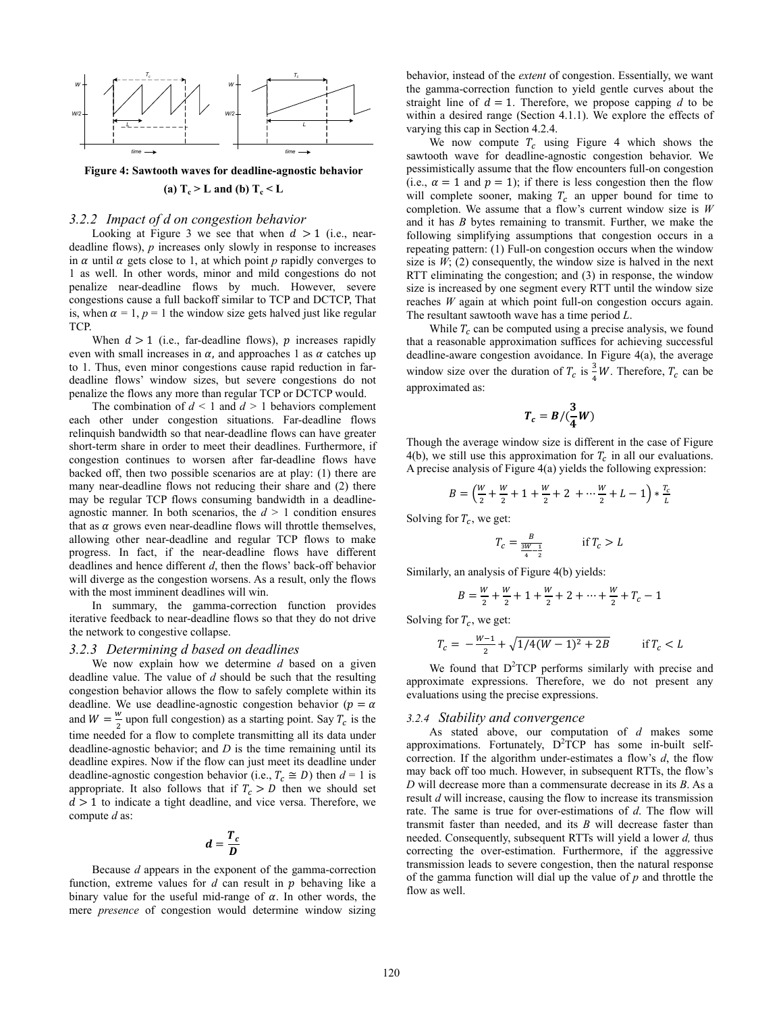

<span id="page-5-1"></span>**Figure 4: Sawtooth waves for deadline-agnostic behavior** (a)  $T_c > L$  and (b)  $T_c < L$ 

#### *3.2.2 Impact of d on congestion behavior*

Looking at [Figure 3](#page-4-0) we see that when  $d > 1$  (i.e., neardeadline flows), *p* increases only slowly in response to increases in  $\alpha$  until  $\alpha$  gets close to 1, at which point *p* rapidly converges to 1 as well. In other words, minor and mild congestions do not penalize near-deadline flows by much. However, severe congestions cause a full backoff similar to TCP and DCTCP, That is, when  $\alpha = 1$ ,  $p = 1$  the window size gets halved just like regular TCP.

When  $d > 1$  (i.e., far-deadline flows), p increases rapidly even with small increases in  $\alpha$ , and approaches 1 as  $\alpha$  catches up to 1. Thus, even minor congestions cause rapid reduction in fardeadline flows' window sizes, but severe congestions do not penalize the flows any more than regular TCP or DCTCP would.

The combination of  $d < 1$  and  $d > 1$  behaviors complement each other under congestion situations. Far-deadline flows relinquish bandwidth so that near-deadline flows can have greater short-term share in order to meet their deadlines. Furthermore, if congestion continues to worsen after far-deadline flows have backed off, then two possible scenarios are at play: (1) there are many near-deadline flows not reducing their share and (2) there may be regular TCP flows consuming bandwidth in a deadlineagnostic manner. In both scenarios, the  $d > 1$  condition ensures that as  $\alpha$  grows even near-deadline flows will throttle themselves, allowing other near-deadline and regular TCP flows to make progress. In fact, if the near-deadline flows have different deadlines and hence different *d*, then the flows' back-off behavior will diverge as the congestion worsens. As a result, only the flows with the most imminent deadlines will win.

In summary, the gamma-correction function provides iterative feedback to near-deadline flows so that they do not drive the network to congestive collapse.

#### <span id="page-5-0"></span>*3.2.3 Determining d based on deadlines*

We now explain how we determine *d* based on a given deadline value. The value of *d* should be such that the resulting congestion behavior allows the flow to safely complete within its deadline. We use deadline-agnostic congestion behavior ( $p = \alpha$ ) and  $W = \frac{w}{2}$  upon full congestion) as a starting point. Say  $T_c$  is the time needed for a flow to complete transmitting all its data under deadline-agnostic behavior; and *D* is the time remaining until its deadline expires. Now if the flow can just meet its deadline under deadline-agnostic congestion behavior (i.e.,  $T_c \cong D$ ) then  $d = 1$  is appropriate. It also follows that if  $T_c > D$  then we should set  $d > 1$  to indicate a tight deadline, and vice versa. Therefore, we compute *d* as:

$$
d=\frac{T_c}{D}
$$

Because *d* appears in the exponent of the gamma-correction function, extreme values for  $d$  can result in  $p$  behaving like a binary value for the useful mid-range of  $\alpha$ . In other words, the mere *presence* of congestion would determine window sizing behavior, instead of the *extent* of congestion. Essentially, we want the gamma-correction function to yield gentle curves about the straight line of  $d = 1$ . Therefore, we propose capping  $d$  to be within a desired range (Section [4.1.1\)](#page-6-0). We explore the effects of varying this cap in Section [4.2.4.](#page-9-0)

We now compute  $T_c$  using [Figure 4](#page-5-1) which shows the sawtooth wave for deadline-agnostic congestion behavior. We pessimistically assume that the flow encounters full-on congestion (i.e.,  $\alpha = 1$  and  $p = 1$ ); if there is less congestion then the flow will complete sooner, making  $T_c$  an upper bound for time to completion. We assume that a flow's current window size is *W* and it has *B* bytes remaining to transmit. Further, we make the following simplifying assumptions that congestion occurs in a repeating pattern: (1) Full-on congestion occurs when the window size is  $W$ ; (2) consequently, the window size is halved in the next RTT eliminating the congestion; and (3) in response, the window size is increased by one segment every RTT until the window size reaches *W* again at which point full-on congestion occurs again. The resultant sawtooth wave has a time period *L*.

While  $T_c$  can be computed using a precise analysis, we found that a reasonable approximation suffices for achieving successful deadline-aware congestion avoidance. In [Figure 4\(](#page-5-1)a), the average window size over the duration of  $T_c$  is  $\frac{3}{4}W$ . Therefore,  $T_c$  can be approximated as:

$$
T_c = B/(\frac{3}{4}W)
$$

Though the average window size is different in the case of [Figure](#page-5-1)  [4\(](#page-5-1)b), we still use this approximation for  $T_c$  in all our evaluations. A precise analysis of [Figure 4\(](#page-5-1)a) yields the following expression:

$$
B = \left(\frac{W}{2} + \frac{W}{2} + 1 + \frac{W}{2} + 2 + \dots + \frac{W}{2} + L - 1\right) * \frac{T_c}{L}
$$

Solving for  $T_c$ , we get:

$$
T_c = \frac{B}{\frac{3W - 1}{4} \cdot 2} \quad \text{if } T_c > L
$$

Similarly, an analysis of [Figure 4\(](#page-5-1)b) yields:

$$
B = \frac{w}{2} + \frac{w}{2} + 1 + \frac{w}{2} + 2 + \dots + \frac{w}{2} + T_c - 1
$$

Solving for  $T_c$ , we get:

$$
T_c = -\frac{W-1}{2} + \sqrt{1/4(W-1)^2 + 2B} \qquad \text{if } T_c < L
$$

We found that  $D^{2}TCP$  performs similarly with precise and approximate expressions. Therefore, we do not present any evaluations using the precise expressions.

#### *3.2.4 Stability and convergence*

As stated above, our computation of *d* makes some approximations. Fortunately,  $D^2 \overline{C}$  has some in-built selfcorrection. If the algorithm under-estimates a flow's *d*, the flow may back off too much. However, in subsequent RTTs, the flow's *D* will decrease more than a commensurate decrease in its *B*. As a result *d* will increase, causing the flow to increase its transmission rate. The same is true for over-estimations of *d*. The flow will transmit faster than needed, and its *B* will decrease faster than needed. Consequently, subsequent RTTs will yield a lower *d,* thus correcting the over-estimation. Furthermore, if the aggressive transmission leads to severe congestion, then the natural response of the gamma function will dial up the value of *p* and throttle the flow as well.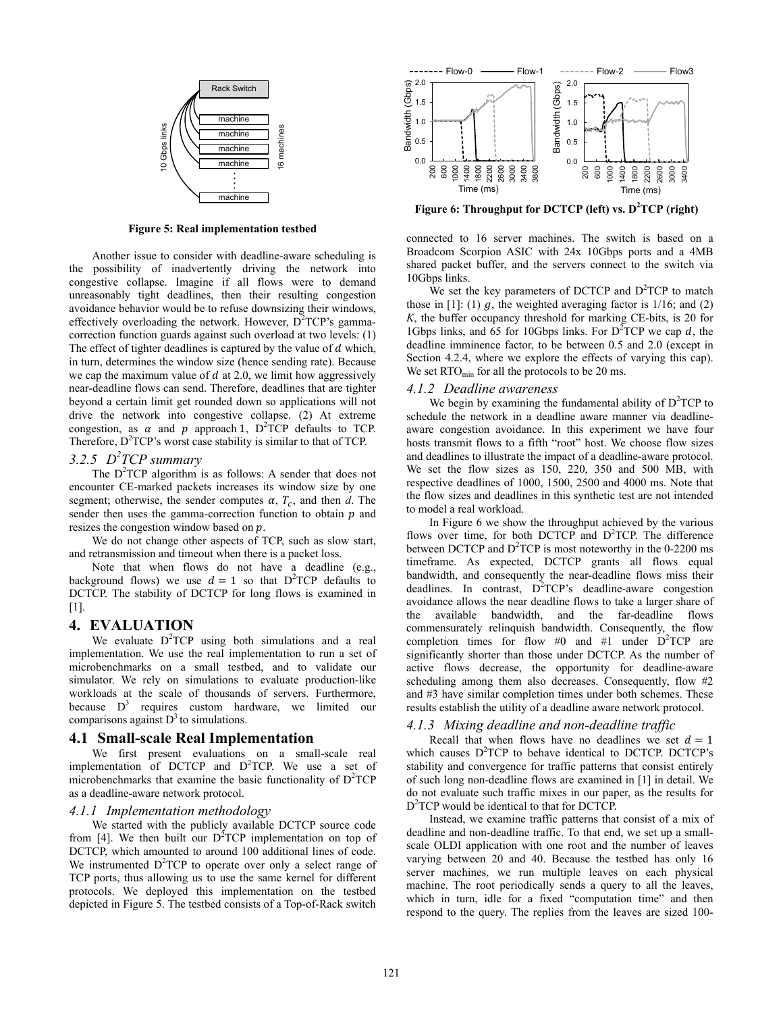

**Figure 5: Real implementation testbed**

<span id="page-6-1"></span>Another issue to consider with deadline-aware scheduling is the possibility of inadvertently driving the network into congestive collapse. Imagine if all flows were to demand unreasonably tight deadlines, then their resulting congestion avoidance behavior would be to refuse downsizing their windows, effectively overloading the network. However,  $D^2TCP$ 's gammacorrection function guards against such overload at two levels: (1) The effect of tighter deadlines is captured by the value of  $d$  which, in turn, determines the window size (hence sending rate). Because we cap the maximum value of  $d$  at 2.0, we limit how aggressively near-deadline flows can send. Therefore, deadlines that are tighter beyond a certain limit get rounded down so applications will not drive the network into congestive collapse. (2) At extreme congestion, as  $\alpha$  and  $p$  approach 1, D<sup>2</sup>TCP defaults to TCP. Therefore,  $D^2TCP$ 's worst case stability is similar to that of TCP.

# *3.2.5 D2 TCP summary*

The  $D<sup>2</sup> TCP$  algorithm is as follows: A sender that does not encounter CE-marked packets increases its window size by one segment; otherwise, the sender computes  $\alpha$ ,  $T_c$ , and then *d*. The sender then uses the gamma-correction function to obtain  $p$  and resizes the congestion window based on  $p$ .

We do not change other aspects of TCP, such as slow start, and retransmission and timeout when there is a packet loss.

Note that when flows do not have a deadline (e.g., background flows) we use  $d = 1$  so that D<sup>2</sup>TCP defaults to DCTCP. The stability of DCTCP for long flows is examined in [\[1\].](#page-11-1) 

# **4. EVALUATION**

We evaluate  $D^2TCP$  using both simulations and a real implementation. We use the real implementation to run a set of microbenchmarks on a small testbed, and to validate our simulator. We rely on simulations to evaluate production-like workloads at the scale of thousands of servers. Furthermore, because  $D<sup>3</sup>$  requires custom hardware, we limited our comparisons against  $D<sup>3</sup>$  to simulations.

#### **4.1 Small-scale Real Implementation**

We first present evaluations on a small-scale real implementation of DCTCP and D<sup>2</sup>TCP. We use a set of microbenchmarks that examine the basic functionality of  $D^{2}TCP$ as a deadline-aware network protocol.

#### <span id="page-6-0"></span>*4.1.1 Implementation methodology*

We started with the publicly available DCTCP source code from [\[4\].](#page-11-8) We then built our  $D^2TCP$  implementation on top of DCTCP, which amounted to around 100 additional lines of code. We instrumented  $D^{2}TCP$  to operate over only a select range of TCP ports, thus allowing us to use the same kernel for different protocols. We deployed this implementation on the testbed depicted in [Figure 5.](#page-6-1) The testbed consists of a Top-of-Rack switch



<span id="page-6-2"></span>**Figure 6: Throughput for DCTCP (left) vs. D<sup>2</sup> TCP (right)**

connected to 16 server machines. The switch is based on a Broadcom Scorpion ASIC with 24x 10Gbps ports and a 4MB shared packet buffer, and the servers connect to the switch via 10Gbps links.

We set the key parameters of DCTCP and  $D^{2}TCP$  to match those in [\[1\]:](#page-11-1) (1)  $g$ , the weighted averaging factor is 1/16; and (2) *K*, the buffer occupancy threshold for marking CE-bits, is 20 for 1Gbps links, and  $\overline{65}$  for 10Gbps links. For D<sup>2</sup>TCP we cap d, the deadline imminence factor, to be between 0.5 and 2.0 (except in Section [4.2.4,](#page-9-0) where we explore the effects of varying this cap). We set  $RTO<sub>min</sub>$  for all the protocols to be 20 ms.

#### *4.1.2 Deadline awareness*

We begin by examining the fundamental ability of  $D<sup>2</sup> TCP$  to schedule the network in a deadline aware manner via deadlineaware congestion avoidance. In this experiment we have four hosts transmit flows to a fifth "root" host. We choose flow sizes and deadlines to illustrate the impact of a deadline-aware protocol. We set the flow sizes as 150, 220, 350 and 500 MB, with respective deadlines of 1000, 1500, 2500 and 4000 ms. Note that the flow sizes and deadlines in this synthetic test are not intended to model a real workload.

In [Figure 6](#page-6-2) we show the throughput achieved by the various flows over time, for both DCTCP and D<sup>2</sup>TCP. The difference between DCTCP and  $D^{2}TCP$  is most noteworthy in the 0-2200 ms timeframe. As expected, DCTCP grants all flows equal bandwidth, and consequently the near-deadline flows miss their deadlines. In contrast,  $D^2 TCP$ 's deadline-aware congestion avoidance allows the near deadline flows to take a larger share of the available bandwidth, and the far-deadline flows available bandwidth, and the far-deadline flows commensurately relinquish bandwidth. Consequently, the flow completion times for flow #0 and #1 under  $D<sup>2</sup>TCP$  are significantly shorter than those under DCTCP. As the number of active flows decrease, the opportunity for deadline-aware scheduling among them also decreases. Consequently, flow #2 and #3 have similar completion times under both schemes. These results establish the utility of a deadline aware network protocol.

#### *4.1.3 Mixing deadline and non-deadline traffic*

Recall that when flows have no deadlines we set  $d = 1$ which causes  $D^{2}TCP$  to behave identical to DCTCP. DCTCP's stability and convergence for traffic patterns that consist entirely of such long non-deadline flows are examined in [\[1\]](#page-11-1) in detail. We do not evaluate such traffic mixes in our paper, as the results for D<sup>2</sup>TCP would be identical to that for DCTCP.

Instead, we examine traffic patterns that consist of a mix of deadline and non-deadline traffic. To that end, we set up a smallscale OLDI application with one root and the number of leaves varying between 20 and 40. Because the testbed has only 16 server machines, we run multiple leaves on each physical machine. The root periodically sends a query to all the leaves, which in turn, idle for a fixed "computation time" and then respond to the query. The replies from the leaves are sized 100-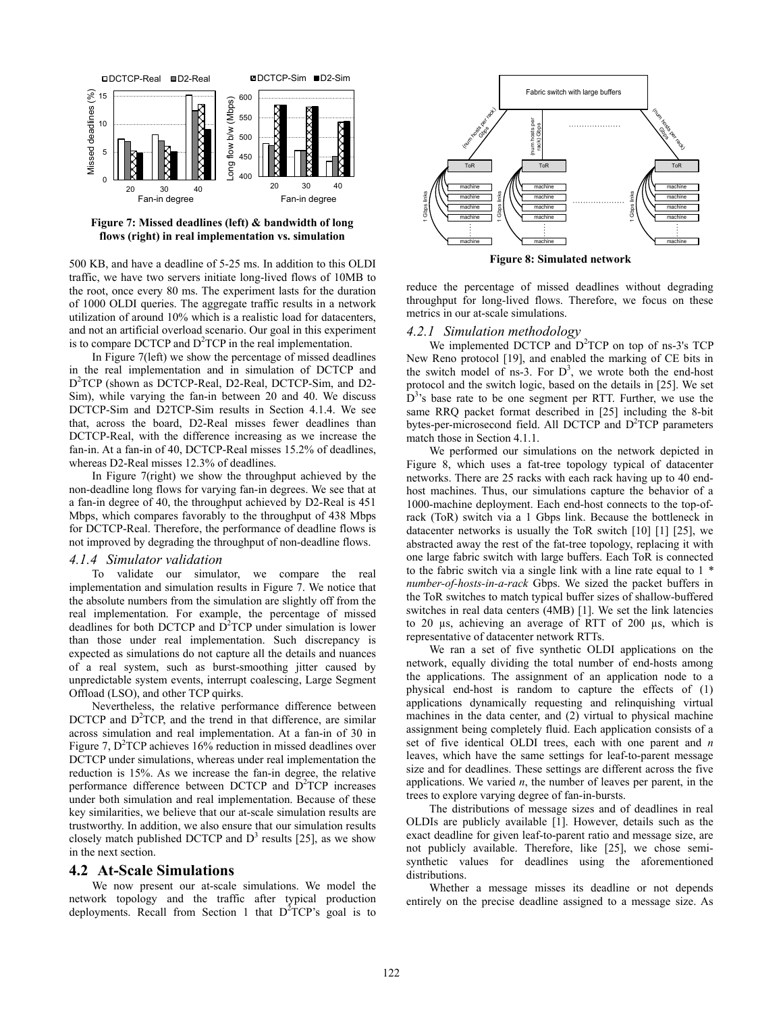

<span id="page-7-0"></span>

500 KB, and have a deadline of 5-25 ms. In addition to this OLDI traffic, we have two servers initiate long-lived flows of 10MB to the root, once every 80 ms. The experiment lasts for the duration of 1000 OLDI queries. The aggregate traffic results in a network utilization of around 10% which is a realistic load for datacenters, and not an artificial overload scenario. Our goal in this experiment is to compare DCTCP and  $D^{2}TCP$  in the real implementation.

In [Figure 7\(](#page-7-0)left) we show the percentage of missed deadlines in the real implementation and in simulation of DCTCP and D2 TCP (shown as DCTCP-Real, D2-Real, DCTCP-Sim, and D2- Sim), while varying the fan-in between 20 and 40. We discuss DCTCP-Sim and D2TCP-Sim results in Section [4.1.4.](#page-7-1) We see that, across the board, D2-Real misses fewer deadlines than DCTCP-Real, with the difference increasing as we increase the fan-in. At a fan-in of 40, DCTCP-Real misses 15.2% of deadlines, whereas D2-Real misses 12.3% of deadlines.

In [Figure 7\(](#page-7-0)right) we show the throughput achieved by the non-deadline long flows for varying fan-in degrees. We see that at a fan-in degree of 40, the throughput achieved by D2-Real is 451 Mbps, which compares favorably to the throughput of 438 Mbps for DCTCP-Real. Therefore, the performance of deadline flows is not improved by degrading the throughput of non-deadline flows.

#### <span id="page-7-1"></span>*4.1.4 Simulator validation*

To validate our simulator, we compare the real implementation and simulation results in [Figure 7.](#page-7-0) We notice that the absolute numbers from the simulation are slightly off from the real implementation. For example, the percentage of missed deadlines for both DCTCP and  $\overline{D}^2$ TCP under simulation is lower than those under real implementation. Such discrepancy is expected as simulations do not capture all the details and nuances of a real system, such as burst-smoothing jitter caused by unpredictable system events, interrupt coalescing, Large Segment Offload (LSO), and other TCP quirks.

Nevertheless, the relative performance difference between DCTCP and D<sup>2</sup>TCP, and the trend in that difference, are similar across simulation and real implementation. At a fan-in of 30 in [Figure 7,](#page-7-0)  $D^2TCP$  achieves 16% reduction in missed deadlines over DCTCP under simulations, whereas under real implementation the reduction is 15%. As we increase the fan-in degree, the relative performance difference between DCTCP and  $\overline{D}^2$ TCP increases under both simulation and real implementation. Because of these key similarities, we believe that our at-scale simulation results are trustworthy. In addition, we also ensure that our simulation results closely match published DCTCP and  $D^3$  results [\[25\],](#page-11-4) as we show in the next section.

#### **4.2 At-Scale Simulations**

We now present our at-scale simulations. We model the network topology and the traffic after typical production deployments. Recall from Section [1](#page-0-1) that  $D^2 \hat{T} C P$ 's goal is to



**Figure 8: Simulated network**

<span id="page-7-2"></span>reduce the percentage of missed deadlines without degrading throughput for long-lived flows. Therefore, we focus on these metrics in our at-scale simulations.

#### <span id="page-7-3"></span>*4.2.1 Simulation methodology*

We implemented DCTCP and D<sup>2</sup>TCP on top of ns-3's TCP New Reno protocol [\[19\],](#page-11-9) and enabled the marking of CE bits in the switch model of ns-3. For  $D<sup>3</sup>$ , we wrote both the end-host protocol and the switch logic, based on the details i[n \[25\].](#page-11-4) We set  $\rm\bar{D}^{3}$ 's base rate to be one segment per RTT. Further, we use the same RRQ packet format described in [\[25\]](#page-11-4) including the 8-bit bytes-per-microsecond field. All DCTCP and D<sup>2</sup>TCP parameters match those in Section [4.1.1.](#page-6-0)

We performed our simulations on the network depicted in [Figure 8,](#page-7-2) which uses a fat-tree topology typical of datacenter networks. There are 25 racks with each rack having up to 40 endhost machines. Thus, our simulations capture the behavior of a 1000-machine deployment. Each end-host connects to the top-ofrack (ToR) switch via a 1 Gbps link. Because the bottleneck in datacenter networks is usually the ToR switch [\[10\]](#page-11-0) [\[1\]](#page-11-1) [\[25\],](#page-11-4) we abstracted away the rest of the fat-tree topology, replacing it with one large fabric switch with large buffers. Each ToR is connected to the fabric switch via a single link with a line rate equal to 1 *\* number-of-hosts-in-a-rack* Gbps. We sized the packet buffers in the ToR switches to match typical buffer sizes of shallow-buffered switches in real data centers (4MB) [\[1\].](#page-11-1) We set the link latencies to 20 µs, achieving an average of RTT of 200 µs, which is representative of datacenter network RTTs.

We ran a set of five synthetic OLDI applications on the network, equally dividing the total number of end-hosts among the applications. The assignment of an application node to a physical end-host is random to capture the effects of (1) applications dynamically requesting and relinquishing virtual machines in the data center, and (2) virtual to physical machine assignment being completely fluid. Each application consists of a set of five identical OLDI trees, each with one parent and *n* leaves, which have the same settings for leaf-to-parent message size and for deadlines. These settings are different across the five applications. We varied  $n$ , the number of leaves per parent, in the trees to explore varying degree of fan-in-bursts.

The distributions of message sizes and of deadlines in real OLDIs are publicly available [\[1\].](#page-11-1) However, details such as the exact deadline for given leaf-to-parent ratio and message size, are not publicly available. Therefore, like [\[25\],](#page-11-4) we chose semisynthetic values for deadlines using the aforementioned distributions.

Whether a message misses its deadline or not depends entirely on the precise deadline assigned to a message size. As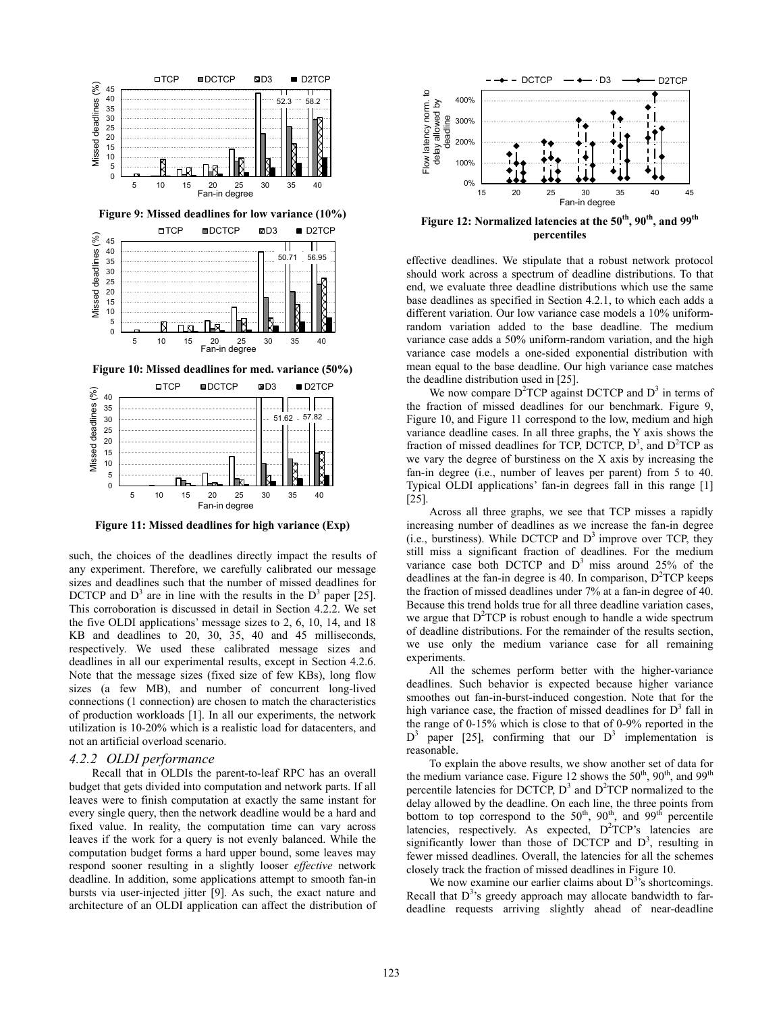<span id="page-8-1"></span>

<span id="page-8-3"></span><span id="page-8-2"></span>**Figure 11: Missed deadlines for high variance (Exp)**

such, the choices of the deadlines directly impact the results of any experiment. Therefore, we carefully calibrated our message sizes and deadlines such that the number of missed deadlines for DCTCP and  $D<sup>3</sup>$  are in line with the results in the  $D<sup>3</sup>$  paper [\[25\].](#page-11-4) This corroboration is discussed in detail in Section [4.2.2.](#page-8-0) We set the five OLDI applications' message sizes to 2, 6, 10, 14, and 18 KB and deadlines to 20, 30, 35, 40 and 45 milliseconds, respectively. We used these calibrated message sizes and deadlines in all our experimental results, except in Section [4.2.6.](#page-10-0) Note that the message sizes (fixed size of few KBs), long flow sizes (a few MB), and number of concurrent long-lived connections (1 connection) are chosen to match the characteristics of production workloads [\[1\].](#page-11-1) In all our experiments, the network utilization is 10-20% which is a realistic load for datacenters, and not an artificial overload scenario.

#### <span id="page-8-0"></span>*4.2.2 OLDI performance*

Recall that in OLDIs the parent-to-leaf RPC has an overall budget that gets divided into computation and network parts. If all leaves were to finish computation at exactly the same instant for every single query, then the network deadline would be a hard and fixed value. In reality, the computation time can vary across leaves if the work for a query is not evenly balanced. While the computation budget forms a hard upper bound, some leaves may respond sooner resulting in a slightly looser *effective* network deadline. In addition, some applications attempt to smooth fan-in bursts via user-injected jitter [\[9\].](#page-11-2) As such, the exact nature and architecture of an OLDI application can affect the distribution of



<span id="page-8-4"></span>**Figure 12: Normalized latencies at the 50th, 90th, and 99th percentiles**

effective deadlines. We stipulate that a robust network protocol should work across a spectrum of deadline distributions. To that end, we evaluate three deadline distributions which use the same base deadlines as specified in Section [4.2.1,](#page-7-3) to which each adds a different variation. Our low variance case models a 10% uniformrandom variation added to the base deadline. The medium variance case adds a 50% uniform-random variation, and the high variance case models a one-sided exponential distribution with mean equal to the base deadline. Our high variance case matches the deadline distribution used i[n \[25\].](#page-11-4) 

We now compare  $D^{2}TCP$  against DCTCP and  $D^{3}$  in terms of the fraction of missed deadlines for our benchmark. [Figure 9,](#page-8-1)  [Figure 10,](#page-8-2) and [Figure 11](#page-8-3) correspond to the low, medium and high variance deadline cases. In all three graphs, the Y axis shows the fraction of missed deadlines for TCP, DCTCP,  $D^3$ , and  $D^2$ TCP as we vary the degree of burstiness on the X axis by increasing the fan-in degree (i.e., number of leaves per parent) from 5 to 40. Typical OLDI applications' fan-in degrees fall in this range [\[1\]](#page-11-1) [\[25\].](#page-11-4)

Across all three graphs, we see that TCP misses a rapidly increasing number of deadlines as we increase the fan-in degree (i.e., burstiness). While DCTCP and  $D<sup>3</sup>$  improve over TCP, they still miss a significant fraction of deadlines. For the medium variance case both DCTCP and  $D<sup>3</sup>$  miss around 25% of the deadlines at the fan-in degree is 40. In comparison,  $D<sup>2</sup> TCP$  keeps the fraction of missed deadlines under 7% at a fan-in degree of 40. Because this trend holds true for all three deadline variation cases, we argue that  $D<sup>2</sup> TCP$  is robust enough to handle a wide spectrum of deadline distributions. For the remainder of the results section, we use only the medium variance case for all remaining experiments.

All the schemes perform better with the higher-variance deadlines. Such behavior is expected because higher variance smoothes out fan-in-burst-induced congestion. Note that for the high variance case, the fraction of missed deadlines for  $D<sup>3</sup>$  fall in the range of 0-15% which is close to that of 0-9% reported in the  $D^3$  paper [\[25\],](#page-11-4) confirming that our  $D^3$  implementation is reasonable.

To explain the above results, we show another set of data for the medium variance case. [Figure 12](#page-8-4) shows the  $50<sup>th</sup>$ ,  $90<sup>th</sup>$ , and  $99<sup>th</sup>$ percentile latencies for DCTCP,  $D^3$  and  $D^2$ TCP normalized to the delay allowed by the deadline. On each line, the three points from bottom to top correspond to the  $50<sup>th</sup>$ ,  $90<sup>th</sup>$ , and  $99<sup>th</sup>$  percentile latencies, respectively. As expected,  $D^{2}TCP$ 's latencies are significantly lower than those of DCTCP and  $D^3$ , resulting in fewer missed deadlines. Overall, the latencies for all the schemes closely track the fraction of missed deadlines in [Figure 10.](#page-8-2) 

We now examine our earlier claims about  $D<sup>3</sup>$ 's shortcomings. Recall that  $D<sup>3</sup>$ 's greedy approach may allocate bandwidth to fardeadline requests arriving slightly ahead of near-deadline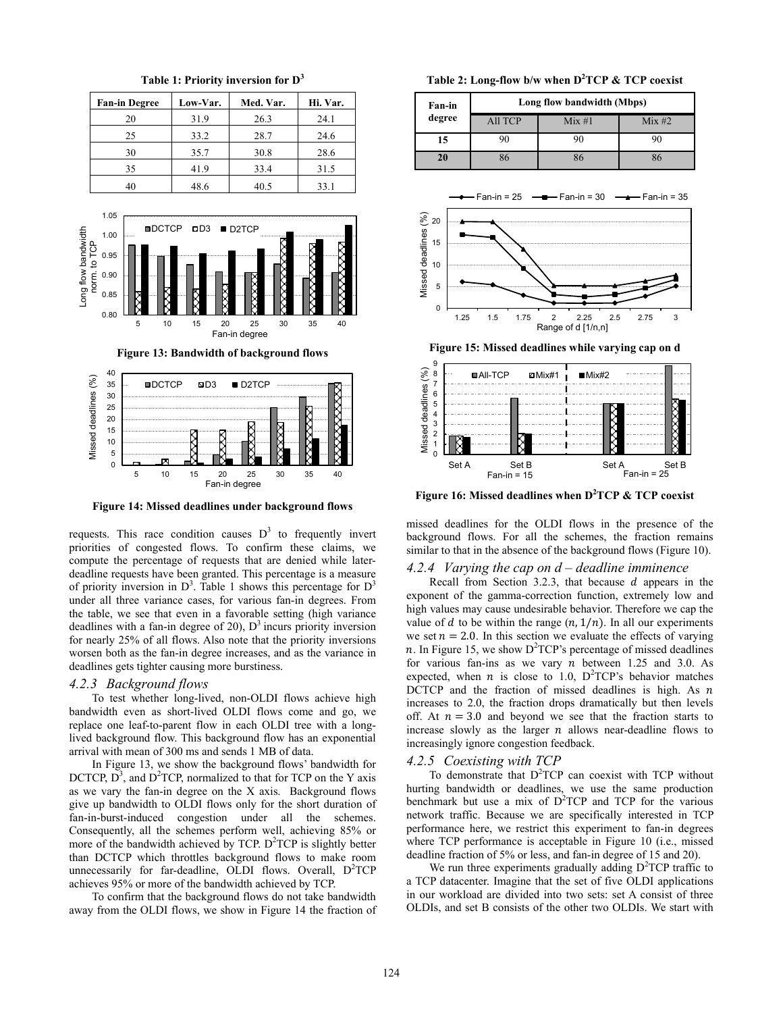<span id="page-9-1"></span>

**Table 1: Priority inversion for D3**

<span id="page-9-3"></span><span id="page-9-2"></span>**Figure 14: Missed deadlines under background flows**

requests. This race condition causes  $D<sup>3</sup>$  to frequently invert priorities of congested flows. To confirm these claims, we compute the percentage of requests that are denied while laterdeadline requests have been granted. This percentage is a measure of priority inversion in  $D^3$ . [Table 1](#page-9-1) shows this percentage for  $D^3$ under all three variance cases, for various fan-in degrees. From the table, we see that even in a favorable setting (high variance deadlines with a fan-in degree of 20),  $D<sup>3</sup>$  incurs priority inversion for nearly 25% of all flows. Also note that the priority inversions worsen both as the fan-in degree increases, and as the variance in deadlines gets tighter causing more burstiness.

#### *4.2.3 Background flows*

To test whether long-lived, non-OLDI flows achieve high bandwidth even as short-lived OLDI flows come and go, we replace one leaf-to-parent flow in each OLDI tree with a longlived background flow. This background flow has an exponential arrival with mean of 300 ms and sends 1 MB of data.

In [Figure 13,](#page-9-2) we show the background flows' bandwidth for DCTCP,  $D^3$ , and  $D^2TCP$ , normalized to that for TCP on the Y axis as we vary the fan-in degree on the X axis. Background flows give up bandwidth to OLDI flows only for the short duration of fan-in-burst-induced congestion under all the schemes. Consequently, all the schemes perform well, achieving 85% or more of the bandwidth achieved by TCP. D<sup>2</sup>TCP is slightly better than DCTCP which throttles background flows to make room unnecessarily for far-deadline, OLDI flows. Overall,  $D^{2}TCP$ achieves 95% or more of the bandwidth achieved by TCP.

To confirm that the background flows do not take bandwidth away from the OLDI flows, we show in [Figure 14](#page-9-3) the fraction of

Table 2: Long-flow b/w when  $D^2TCP$  & TCP coexist

<span id="page-9-6"></span>

| Fan-in<br>degree | Long flow bandwidth (Mbps) |        |        |
|------------------|----------------------------|--------|--------|
|                  | All TCP                    | Mix #1 | Mix #2 |
| 15               | 90                         | 90     | 90     |
| 20               | 86                         | 86     | 86     |
|                  |                            |        |        |



<span id="page-9-5"></span><span id="page-9-4"></span>**Figure 16: Missed deadlines when D2 TCP & TCP coexist**

missed deadlines for the OLDI flows in the presence of the background flows. For all the schemes, the fraction remains similar to that in the absence of the background flows [\(Figure 10\)](#page-8-2).

# <span id="page-9-0"></span>*4.2.4 Varying the cap on d – deadline imminence*

Recall from Section [3.2.3,](#page-5-0) that because  $d$  appears in the exponent of the gamma-correction function, extremely low and high values may cause undesirable behavior. Therefore we cap the value of *d* to be within the range  $(n, 1/n)$ . In all our experiments we set  $n = 2.0$ . In this section we evaluate the effects of varying *n*. I[n Figure 15,](#page-9-4) we show  $D^{2}TCP$ 's percentage of missed deadlines for various fan-ins as we vary  $n$  between 1.25 and 3.0. As expected, when *n* is close to 1.0,  $D^{2}TCP$ 's behavior matches DCTCP and the fraction of missed deadlines is high. As  $n$ increases to 2.0, the fraction drops dramatically but then levels off. At  $n = 3.0$  and beyond we see that the fraction starts to increase slowly as the larger  $n$  allows near-deadline flows to increasingly ignore congestion feedback.

#### *4.2.5 Coexisting with TCP*

To demonstrate that D<sup>2</sup>TCP can coexist with TCP without hurting bandwidth or deadlines, we use the same production benchmark but use a mix of  $D^2TCP$  and  $TCP$  for the various network traffic. Because we are specifically interested in TCP performance here, we restrict this experiment to fan-in degrees where TCP performance is acceptable in [Figure 10](#page-8-2) (i.e., missed deadline fraction of 5% or less, and fan-in degree of 15 and 20).

We run three experiments gradually adding  $D^2TCP$  traffic to a TCP datacenter. Imagine that the set of five OLDI applications in our workload are divided into two sets: set A consist of three OLDIs, and set B consists of the other two OLDIs. We start with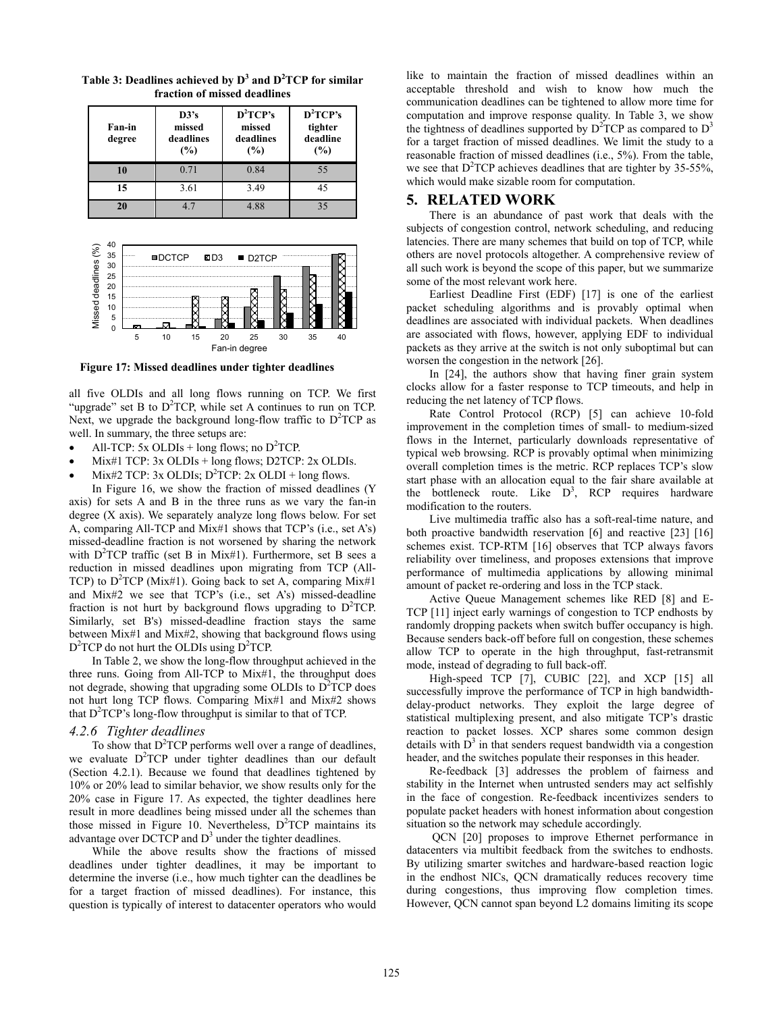| Fan-in<br>degree | D3's<br>missed<br>deadlines<br>(%) | $D^2TCP's$<br>missed<br>deadlines<br>(%) | $D^2TCP's$<br>tighter<br>deadline<br>(%) |
|------------------|------------------------------------|------------------------------------------|------------------------------------------|
| 10               | 0.71                               | 0.84                                     | 55                                       |
| 15               | 3.61                               | 3.49                                     | 45                                       |
| 2 <sub>0</sub>   | 47                                 | 4.88                                     | 35                                       |

<span id="page-10-2"></span>Table 3: Deadlines achieved by  $D^3$  and  $D^2TCP$  for similar **fraction of missed deadlines**



<span id="page-10-1"></span>**Figure 17: Missed deadlines under tighter deadlines**

all five OLDIs and all long flows running on TCP. We first "upgrade" set B to  $D^2TCP$ , while set A continues to run on TCP. Next, we upgrade the background long-flow traffic to  $D^{2}TCP$  as well. In summary, the three setups are:

- All-TCP:  $5x$  OLDIs + long flows; no D<sup>2</sup>TCP.
- Mix#1 TCP: 3x OLDIs + long flows; D2TCP: 2x OLDIs.
- Mix#2 TCP:  $3x$  OLDIs; D<sup>2</sup>TCP:  $2x$  OLDI + long flows.

In [Figure 16,](#page-9-5) we show the fraction of missed deadlines (Y axis) for sets A and B in the three runs as we vary the fan-in degree (X axis). We separately analyze long flows below. For set A, comparing All-TCP and Mix#1 shows that TCP's (i.e., set A's) missed-deadline fraction is not worsened by sharing the network with  $D^{2}TCP$  traffic (set B in Mix#1). Furthermore, set B sees a reduction in missed deadlines upon migrating from TCP (All-TCP) to  $D^2TCP$  (Mix#1). Going back to set A, comparing Mix#1 and Mix#2 we see that TCP's (i.e., set A's) missed-deadline fraction is not hurt by background flows upgrading to  $D^2TCP$ . Similarly, set B's) missed-deadline fraction stays the same between Mix#1 and Mix#2, showing that background flows using  $D^{2}TCP$  do not hurt the OLDIs using  $D^{2}TCP$ .

I[n Table 2,](#page-9-6) we show the long-flow throughput achieved in the three runs. Going from All-TCP to Mix#1, the throughput does not degrade, showing that upgrading some OLDIs to  $\overline{D^2}$ TCP does not hurt long TCP flows. Comparing Mix#1 and Mix#2 shows that  $D^{2}TCP$ 's long-flow throughput is similar to that of TCP.

#### <span id="page-10-0"></span>*4.2.6 Tighter deadlines*

To show that  $D^{2}TCP$  performs well over a range of deadlines, we evaluate D<sup>2</sup>TCP under tighter deadlines than our default (Section [4.2.1\)](#page-7-3). Because we found that deadlines tightened by 10% or 20% lead to similar behavior, we show results only for the 20% case in [Figure 17.](#page-10-1) As expected, the tighter deadlines here result in more deadlines being missed under all the schemes than those missed in [Figure 10.](#page-8-2) Nevertheless,  $D<sup>2</sup> TCP$  maintains its advantage over DCTCP and  $D<sup>3</sup>$  under the tighter deadlines.

While the above results show the fractions of missed deadlines under tighter deadlines, it may be important to determine the inverse (i.e., how much tighter can the deadlines be for a target fraction of missed deadlines). For instance, this question is typically of interest to datacenter operators who would

like to maintain the fraction of missed deadlines within an acceptable threshold and wish to know how much the communication deadlines can be tightened to allow more time for computation and improve response quality. In [Table 3,](#page-10-2) we show the tightness of deadlines supported by  $D^{2}TCP$  as compared to  $D^{3}$ for a target fraction of missed deadlines. We limit the study to a reasonable fraction of missed deadlines (i.e., 5%). From the table, we see that  $D^{2}TCP$  achieves deadlines that are tighter by 35-55%, which would make sizable room for computation.

#### **5. RELATED WORK**

There is an abundance of past work that deals with the subjects of congestion control, network scheduling, and reducing latencies. There are many schemes that build on top of TCP, while others are novel protocols altogether. A comprehensive review of all such work is beyond the scope of this paper, but we summarize some of the most relevant work here.

Earliest Deadline First (EDF) [\[17\]](#page-11-10) is one of the earliest packet scheduling algorithms and is provably optimal when deadlines are associated with individual packets. When deadlines are associated with flows, however, applying EDF to individual packets as they arrive at the switch is not only suboptimal but can worsen the congestion in the network [\[26\].](#page-11-11)

In [\[24\],](#page-11-12) the authors show that having finer grain system clocks allow for a faster response to TCP timeouts, and help in reducing the net latency of TCP flows.

Rate Control Protocol (RCP) [\[5\]](#page-11-13) can achieve 10-fold improvement in the completion times of small- to medium-sized flows in the Internet, particularly downloads representative of typical web browsing. RCP is provably optimal when minimizing overall completion times is the metric. RCP replaces TCP's slow start phase with an allocation equal to the fair share available at the bottleneck route. Like  $D^3$ , RCP requires hardware modification to the routers.

Live multimedia traffic also has a soft-real-time nature, and both proactive bandwidth reservation [\[6\]](#page-11-14) and reactive [\[23\]](#page-11-15) [\[16\]](#page-11-16) schemes exist. TCP-RTM [\[16\]](#page-11-16) observes that TCP always favors reliability over timeliness, and proposes extensions that improve performance of multimedia applications by allowing minimal amount of packet re-ordering and loss in the TCP stack.

Active Queue Management schemes like RED [\[8\]](#page-11-6) and E-TCP [\[11\]](#page-11-17) inject early warnings of congestion to TCP endhosts by randomly dropping packets when switch buffer occupancy is high. Because senders back-off before full on congestion, these schemes allow TCP to operate in the high throughput, fast-retransmit mode, instead of degrading to full back-off.

High-speed TCP [\[7\],](#page-11-18) CUBIC [\[22\],](#page-11-19) and XCP [\[15\]](#page-11-20) all successfully improve the performance of TCP in high bandwidthdelay-product networks. They exploit the large degree of statistical multiplexing present, and also mitigate TCP's drastic reaction to packet losses. XCP shares some common design details with  $\overline{D}^3$  in that senders request bandwidth via a congestion header, and the switches populate their responses in this header.

Re-feedback [\[3\]](#page-11-21) addresses the problem of fairness and stability in the Internet when untrusted senders may act selfishly in the face of congestion. Re-feedback incentivizes senders to populate packet headers with honest information about congestion situation so the network may schedule accordingly.

QCN [\[20\]](#page-11-22) proposes to improve Ethernet performance in datacenters via multibit feedback from the switches to endhosts. By utilizing smarter switches and hardware-based reaction logic in the endhost NICs, QCN dramatically reduces recovery time during congestions, thus improving flow completion times. However, QCN cannot span beyond L2 domains limiting its scope